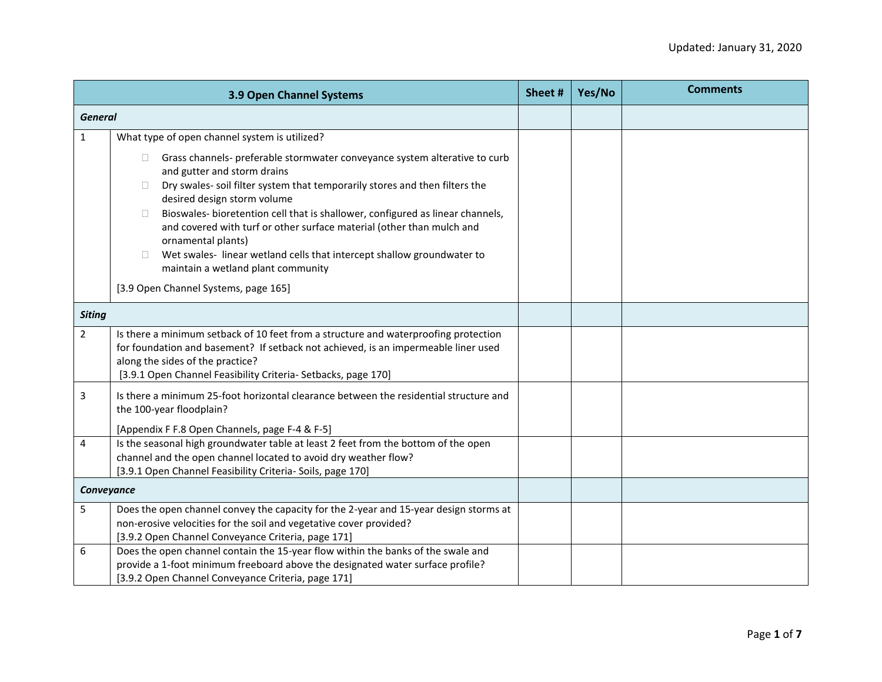|                | 3.9 Open Channel Systems                                                                                                                                                                                                                                                                                                                                                                                                                                                                                                                                                                   | Sheet# | Yes/No | <b>Comments</b> |
|----------------|--------------------------------------------------------------------------------------------------------------------------------------------------------------------------------------------------------------------------------------------------------------------------------------------------------------------------------------------------------------------------------------------------------------------------------------------------------------------------------------------------------------------------------------------------------------------------------------------|--------|--------|-----------------|
| <b>General</b> |                                                                                                                                                                                                                                                                                                                                                                                                                                                                                                                                                                                            |        |        |                 |
| $\mathbf{1}$   | What type of open channel system is utilized?                                                                                                                                                                                                                                                                                                                                                                                                                                                                                                                                              |        |        |                 |
|                | Grass channels- preferable stormwater conveyance system alterative to curb<br>П.<br>and gutter and storm drains<br>Dry swales- soil filter system that temporarily stores and then filters the<br>П.<br>desired design storm volume<br>Bioswales- bioretention cell that is shallower, configured as linear channels,<br>$\Box$<br>and covered with turf or other surface material (other than mulch and<br>ornamental plants)<br>Wet swales-linear wetland cells that intercept shallow groundwater to<br>П<br>maintain a wetland plant community<br>[3.9 Open Channel Systems, page 165] |        |        |                 |
|                |                                                                                                                                                                                                                                                                                                                                                                                                                                                                                                                                                                                            |        |        |                 |
| <b>Siting</b>  |                                                                                                                                                                                                                                                                                                                                                                                                                                                                                                                                                                                            |        |        |                 |
| $\overline{2}$ | Is there a minimum setback of 10 feet from a structure and waterproofing protection<br>for foundation and basement? If setback not achieved, is an impermeable liner used<br>along the sides of the practice?<br>[3.9.1 Open Channel Feasibility Criteria- Setbacks, page 170]                                                                                                                                                                                                                                                                                                             |        |        |                 |
| 3              | Is there a minimum 25-foot horizontal clearance between the residential structure and<br>the 100-year floodplain?                                                                                                                                                                                                                                                                                                                                                                                                                                                                          |        |        |                 |
|                | [Appendix F F.8 Open Channels, page F-4 & F-5]                                                                                                                                                                                                                                                                                                                                                                                                                                                                                                                                             |        |        |                 |
| 4              | Is the seasonal high groundwater table at least 2 feet from the bottom of the open<br>channel and the open channel located to avoid dry weather flow?<br>[3.9.1 Open Channel Feasibility Criteria- Soils, page 170]                                                                                                                                                                                                                                                                                                                                                                        |        |        |                 |
| Conveyance     |                                                                                                                                                                                                                                                                                                                                                                                                                                                                                                                                                                                            |        |        |                 |
| 5              | Does the open channel convey the capacity for the 2-year and 15-year design storms at<br>non-erosive velocities for the soil and vegetative cover provided?<br>[3.9.2 Open Channel Conveyance Criteria, page 171]                                                                                                                                                                                                                                                                                                                                                                          |        |        |                 |
| 6              | Does the open channel contain the 15-year flow within the banks of the swale and<br>provide a 1-foot minimum freeboard above the designated water surface profile?<br>[3.9.2 Open Channel Conveyance Criteria, page 171]                                                                                                                                                                                                                                                                                                                                                                   |        |        |                 |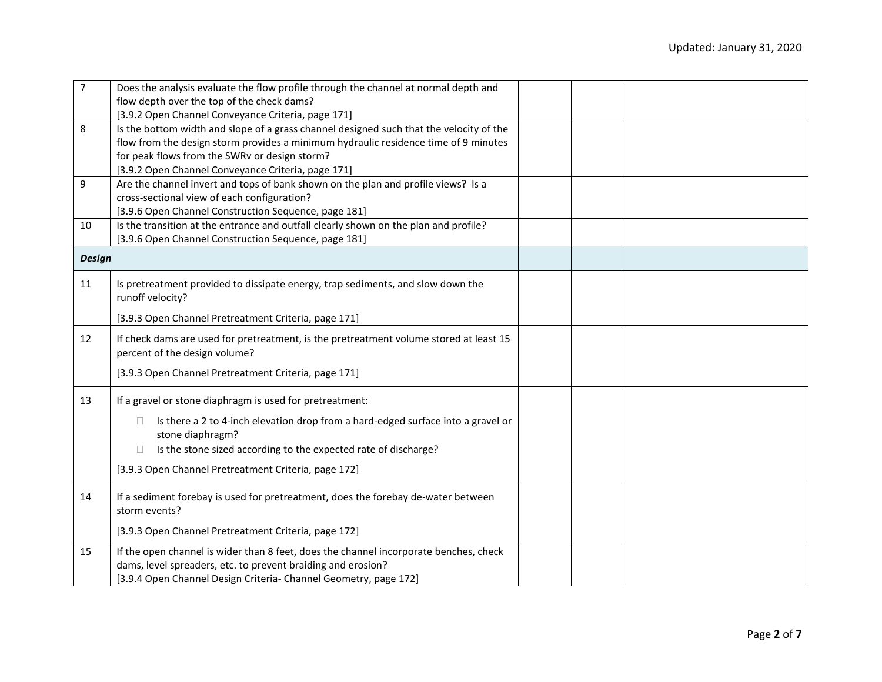| $\overline{7}$ | Does the analysis evaluate the flow profile through the channel at normal depth and                                                                                                                                       |  |  |
|----------------|---------------------------------------------------------------------------------------------------------------------------------------------------------------------------------------------------------------------------|--|--|
|                | flow depth over the top of the check dams?                                                                                                                                                                                |  |  |
|                | [3.9.2 Open Channel Conveyance Criteria, page 171]                                                                                                                                                                        |  |  |
| 8              | Is the bottom width and slope of a grass channel designed such that the velocity of the                                                                                                                                   |  |  |
|                | flow from the design storm provides a minimum hydraulic residence time of 9 minutes                                                                                                                                       |  |  |
|                | for peak flows from the SWRv or design storm?                                                                                                                                                                             |  |  |
|                | [3.9.2 Open Channel Conveyance Criteria, page 171]                                                                                                                                                                        |  |  |
| 9              | Are the channel invert and tops of bank shown on the plan and profile views? Is a                                                                                                                                         |  |  |
|                | cross-sectional view of each configuration?                                                                                                                                                                               |  |  |
|                | [3.9.6 Open Channel Construction Sequence, page 181]                                                                                                                                                                      |  |  |
| 10             | Is the transition at the entrance and outfall clearly shown on the plan and profile?                                                                                                                                      |  |  |
|                | [3.9.6 Open Channel Construction Sequence, page 181]                                                                                                                                                                      |  |  |
| <b>Design</b>  |                                                                                                                                                                                                                           |  |  |
| 11             | Is pretreatment provided to dissipate energy, trap sediments, and slow down the<br>runoff velocity?                                                                                                                       |  |  |
|                | [3.9.3 Open Channel Pretreatment Criteria, page 171]                                                                                                                                                                      |  |  |
| 12             | If check dams are used for pretreatment, is the pretreatment volume stored at least 15<br>percent of the design volume?                                                                                                   |  |  |
|                | [3.9.3 Open Channel Pretreatment Criteria, page 171]                                                                                                                                                                      |  |  |
| 13             | If a gravel or stone diaphragm is used for pretreatment:                                                                                                                                                                  |  |  |
|                | Is there a 2 to 4-inch elevation drop from a hard-edged surface into a gravel or<br>$\Box$<br>stone diaphragm?<br>Is the stone sized according to the expected rate of discharge?<br>$\Box$                               |  |  |
|                | [3.9.3 Open Channel Pretreatment Criteria, page 172]                                                                                                                                                                      |  |  |
| 14             | If a sediment forebay is used for pretreatment, does the forebay de-water between<br>storm events?                                                                                                                        |  |  |
|                | [3.9.3 Open Channel Pretreatment Criteria, page 172]                                                                                                                                                                      |  |  |
| 15             | If the open channel is wider than 8 feet, does the channel incorporate benches, check<br>dams, level spreaders, etc. to prevent braiding and erosion?<br>[3.9.4 Open Channel Design Criteria- Channel Geometry, page 172] |  |  |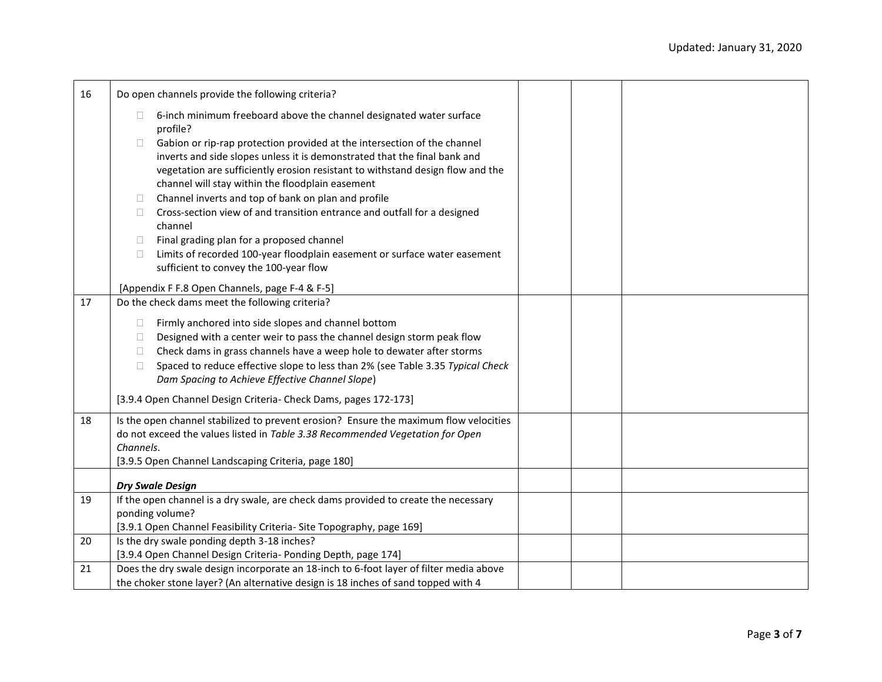| 16 | Do open channels provide the following criteria?                                                                                                                                                                                                                                                      |  |  |
|----|-------------------------------------------------------------------------------------------------------------------------------------------------------------------------------------------------------------------------------------------------------------------------------------------------------|--|--|
|    | 6-inch minimum freeboard above the channel designated water surface<br>П.<br>profile?                                                                                                                                                                                                                 |  |  |
|    | Gabion or rip-rap protection provided at the intersection of the channel<br>$\Box$<br>inverts and side slopes unless it is demonstrated that the final bank and<br>vegetation are sufficiently erosion resistant to withstand design flow and the<br>channel will stay within the floodplain easement |  |  |
|    | Channel inverts and top of bank on plan and profile<br>П.                                                                                                                                                                                                                                             |  |  |
|    | Cross-section view of and transition entrance and outfall for a designed<br>П.<br>channel                                                                                                                                                                                                             |  |  |
|    | Final grading plan for a proposed channel<br>П.                                                                                                                                                                                                                                                       |  |  |
|    | Limits of recorded 100-year floodplain easement or surface water easement<br>$\Box$                                                                                                                                                                                                                   |  |  |
|    | sufficient to convey the 100-year flow                                                                                                                                                                                                                                                                |  |  |
|    | [Appendix F F.8 Open Channels, page F-4 & F-5]                                                                                                                                                                                                                                                        |  |  |
| 17 | Do the check dams meet the following criteria?                                                                                                                                                                                                                                                        |  |  |
|    | Firmly anchored into side slopes and channel bottom<br>$\Box$                                                                                                                                                                                                                                         |  |  |
|    | Designed with a center weir to pass the channel design storm peak flow<br>$\Box$                                                                                                                                                                                                                      |  |  |
|    | Check dams in grass channels have a weep hole to dewater after storms<br>$\Box$                                                                                                                                                                                                                       |  |  |
|    | Spaced to reduce effective slope to less than 2% (see Table 3.35 Typical Check<br>$\Box$                                                                                                                                                                                                              |  |  |
|    | Dam Spacing to Achieve Effective Channel Slope)                                                                                                                                                                                                                                                       |  |  |
|    | [3.9.4 Open Channel Design Criteria- Check Dams, pages 172-173]                                                                                                                                                                                                                                       |  |  |
| 18 | Is the open channel stabilized to prevent erosion? Ensure the maximum flow velocities                                                                                                                                                                                                                 |  |  |
|    | do not exceed the values listed in Table 3.38 Recommended Vegetation for Open                                                                                                                                                                                                                         |  |  |
|    | Channels.                                                                                                                                                                                                                                                                                             |  |  |
|    | [3.9.5 Open Channel Landscaping Criteria, page 180]                                                                                                                                                                                                                                                   |  |  |
|    | <b>Dry Swale Design</b>                                                                                                                                                                                                                                                                               |  |  |
| 19 | If the open channel is a dry swale, are check dams provided to create the necessary                                                                                                                                                                                                                   |  |  |
|    | ponding volume?                                                                                                                                                                                                                                                                                       |  |  |
|    | [3.9.1 Open Channel Feasibility Criteria- Site Topography, page 169]                                                                                                                                                                                                                                  |  |  |
| 20 | Is the dry swale ponding depth 3-18 inches?                                                                                                                                                                                                                                                           |  |  |
|    | [3.9.4 Open Channel Design Criteria- Ponding Depth, page 174]                                                                                                                                                                                                                                         |  |  |
| 21 | Does the dry swale design incorporate an 18-inch to 6-foot layer of filter media above                                                                                                                                                                                                                |  |  |
|    | the choker stone layer? (An alternative design is 18 inches of sand topped with 4                                                                                                                                                                                                                     |  |  |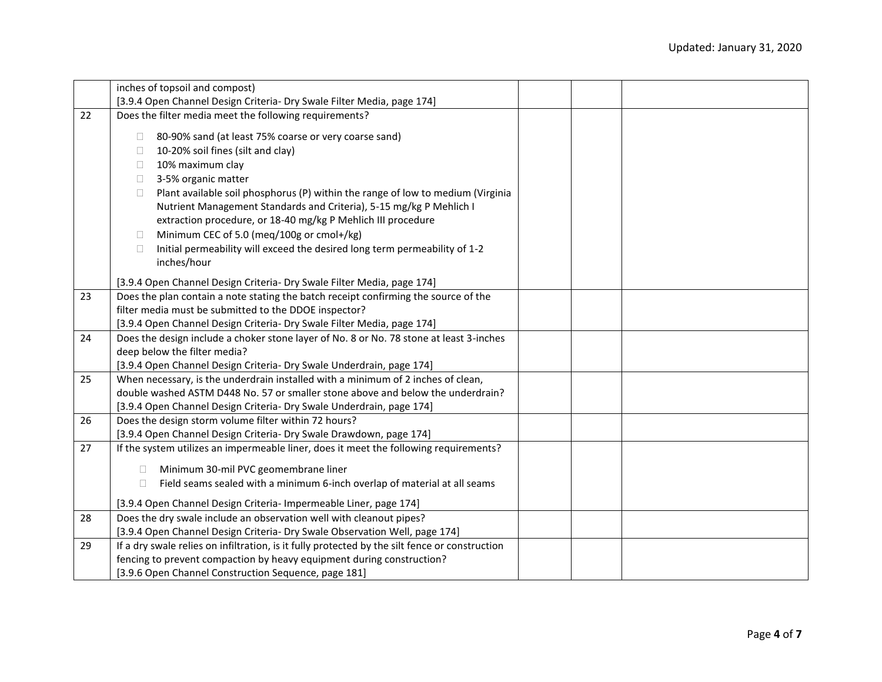|    | inches of topsoil and compost)                                                                                                                                   |
|----|------------------------------------------------------------------------------------------------------------------------------------------------------------------|
|    | [3.9.4 Open Channel Design Criteria- Dry Swale Filter Media, page 174]                                                                                           |
| 22 | Does the filter media meet the following requirements?                                                                                                           |
|    | 80-90% sand (at least 75% coarse or very coarse sand)<br>Ш                                                                                                       |
|    | 10-20% soil fines (silt and clay)<br>□                                                                                                                           |
|    |                                                                                                                                                                  |
|    | 10% maximum clay<br>$\Box$                                                                                                                                       |
|    | 3-5% organic matter<br>$\Box$                                                                                                                                    |
|    | Plant available soil phosphorus (P) within the range of low to medium (Virginia<br>$\Box$<br>Nutrient Management Standards and Criteria), 5-15 mg/kg P Mehlich I |
|    |                                                                                                                                                                  |
|    | extraction procedure, or 18-40 mg/kg P Mehlich III procedure<br>Minimum CEC of 5.0 (meg/100g or cmol+/kg)                                                        |
|    | $\Box$<br>Initial permeability will exceed the desired long term permeability of 1-2<br>0                                                                        |
|    | inches/hour                                                                                                                                                      |
|    |                                                                                                                                                                  |
|    | [3.9.4 Open Channel Design Criteria- Dry Swale Filter Media, page 174]                                                                                           |
| 23 | Does the plan contain a note stating the batch receipt confirming the source of the                                                                              |
|    | filter media must be submitted to the DDOE inspector?                                                                                                            |
|    | [3.9.4 Open Channel Design Criteria- Dry Swale Filter Media, page 174]                                                                                           |
| 24 | Does the design include a choker stone layer of No. 8 or No. 78 stone at least 3-inches                                                                          |
|    | deep below the filter media?                                                                                                                                     |
|    | [3.9.4 Open Channel Design Criteria- Dry Swale Underdrain, page 174]                                                                                             |
| 25 | When necessary, is the underdrain installed with a minimum of 2 inches of clean,                                                                                 |
|    | double washed ASTM D448 No. 57 or smaller stone above and below the underdrain?                                                                                  |
|    | [3.9.4 Open Channel Design Criteria- Dry Swale Underdrain, page 174]                                                                                             |
| 26 | Does the design storm volume filter within 72 hours?                                                                                                             |
|    | [3.9.4 Open Channel Design Criteria- Dry Swale Drawdown, page 174]                                                                                               |
| 27 | If the system utilizes an impermeable liner, does it meet the following requirements?                                                                            |
|    | Minimum 30-mil PVC geomembrane liner<br>Ц                                                                                                                        |
|    | Field seams sealed with a minimum 6-inch overlap of material at all seams<br>$\Box$                                                                              |
|    |                                                                                                                                                                  |
|    | [3.9.4 Open Channel Design Criteria- Impermeable Liner, page 174]                                                                                                |
| 28 | Does the dry swale include an observation well with cleanout pipes?                                                                                              |
|    | [3.9.4 Open Channel Design Criteria- Dry Swale Observation Well, page 174]                                                                                       |
| 29 | If a dry swale relies on infiltration, is it fully protected by the silt fence or construction                                                                   |
|    | fencing to prevent compaction by heavy equipment during construction?                                                                                            |
|    | [3.9.6 Open Channel Construction Sequence, page 181]                                                                                                             |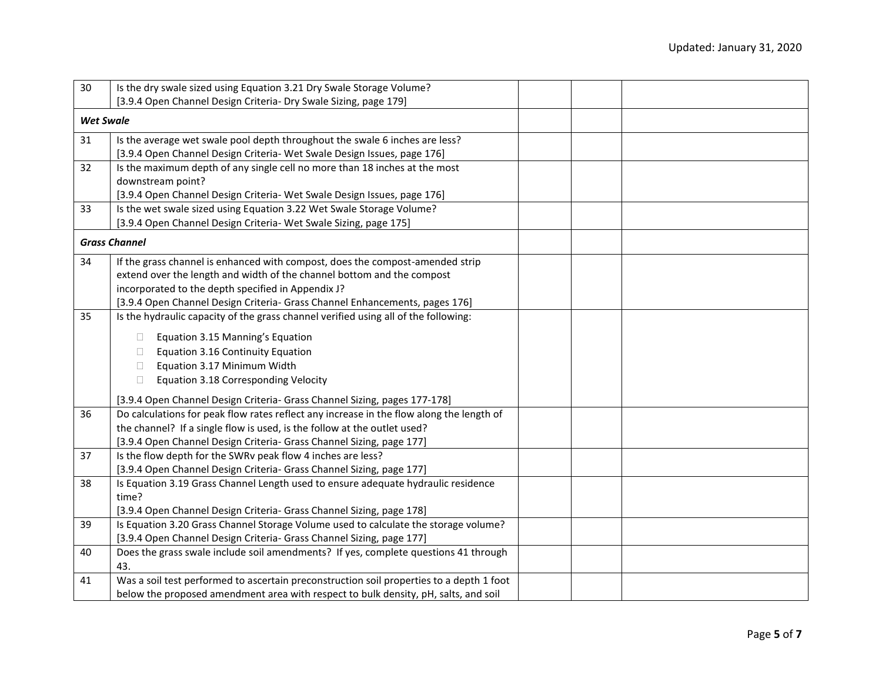| 30               | Is the dry swale sized using Equation 3.21 Dry Swale Storage Volume?                     |  |  |  |
|------------------|------------------------------------------------------------------------------------------|--|--|--|
|                  | [3.9.4 Open Channel Design Criteria- Dry Swale Sizing, page 179]                         |  |  |  |
| <b>Wet Swale</b> |                                                                                          |  |  |  |
| 31               | Is the average wet swale pool depth throughout the swale 6 inches are less?              |  |  |  |
|                  | [3.9.4 Open Channel Design Criteria- Wet Swale Design Issues, page 176]                  |  |  |  |
| 32               | Is the maximum depth of any single cell no more than 18 inches at the most               |  |  |  |
|                  | downstream point?                                                                        |  |  |  |
|                  | [3.9.4 Open Channel Design Criteria- Wet Swale Design Issues, page 176]                  |  |  |  |
| 33               | Is the wet swale sized using Equation 3.22 Wet Swale Storage Volume?                     |  |  |  |
|                  | [3.9.4 Open Channel Design Criteria- Wet Swale Sizing, page 175]                         |  |  |  |
|                  | <b>Grass Channel</b>                                                                     |  |  |  |
| 34               | If the grass channel is enhanced with compost, does the compost-amended strip            |  |  |  |
|                  | extend over the length and width of the channel bottom and the compost                   |  |  |  |
|                  | incorporated to the depth specified in Appendix J?                                       |  |  |  |
|                  | [3.9.4 Open Channel Design Criteria- Grass Channel Enhancements, pages 176]              |  |  |  |
| 35               | Is the hydraulic capacity of the grass channel verified using all of the following:      |  |  |  |
|                  | Equation 3.15 Manning's Equation<br>$\Box$                                               |  |  |  |
|                  | Equation 3.16 Continuity Equation<br>П.                                                  |  |  |  |
|                  | Equation 3.17 Minimum Width<br>$\Box$                                                    |  |  |  |
|                  | Equation 3.18 Corresponding Velocity<br>$\Box$                                           |  |  |  |
|                  |                                                                                          |  |  |  |
|                  | [3.9.4 Open Channel Design Criteria- Grass Channel Sizing, pages 177-178]                |  |  |  |
| 36               | Do calculations for peak flow rates reflect any increase in the flow along the length of |  |  |  |
|                  | the channel? If a single flow is used, is the follow at the outlet used?                 |  |  |  |
|                  | [3.9.4 Open Channel Design Criteria- Grass Channel Sizing, page 177]                     |  |  |  |
| 37               | Is the flow depth for the SWRv peak flow 4 inches are less?                              |  |  |  |
|                  | [3.9.4 Open Channel Design Criteria- Grass Channel Sizing, page 177]                     |  |  |  |
| 38               | Is Equation 3.19 Grass Channel Length used to ensure adequate hydraulic residence        |  |  |  |
|                  | time?                                                                                    |  |  |  |
|                  | [3.9.4 Open Channel Design Criteria- Grass Channel Sizing, page 178]                     |  |  |  |
| 39               | Is Equation 3.20 Grass Channel Storage Volume used to calculate the storage volume?      |  |  |  |
|                  | [3.9.4 Open Channel Design Criteria- Grass Channel Sizing, page 177]                     |  |  |  |
| 40               | Does the grass swale include soil amendments? If yes, complete questions 41 through      |  |  |  |
|                  | 43.                                                                                      |  |  |  |
| 41               | Was a soil test performed to ascertain preconstruction soil properties to a depth 1 foot |  |  |  |
|                  | below the proposed amendment area with respect to bulk density, pH, salts, and soil      |  |  |  |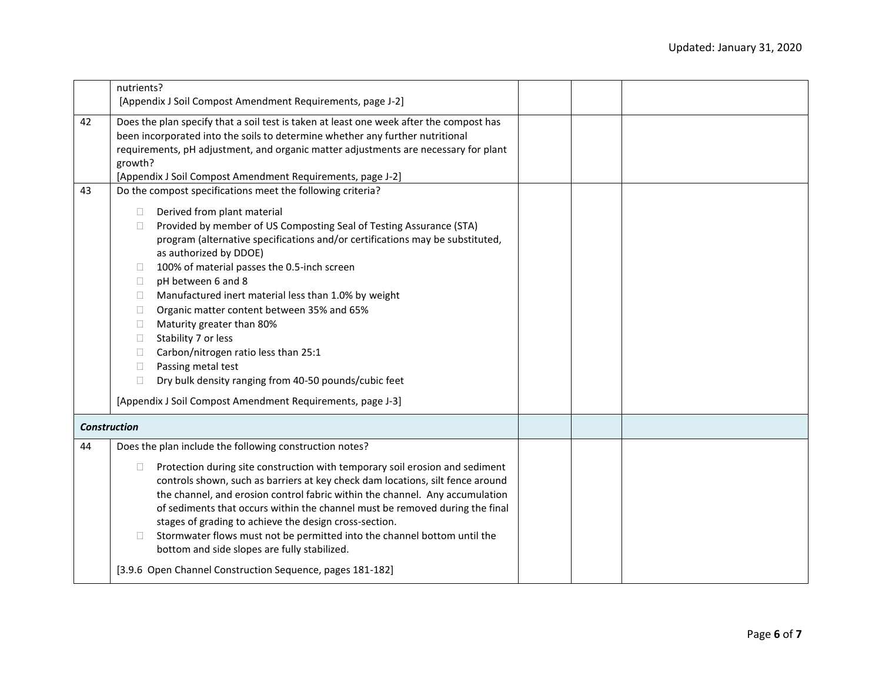|                     | nutrients?<br>[Appendix J Soil Compost Amendment Requirements, page J-2]                                                                                                                                                                                                                                                                                                                                                                                                                                                                                                                                                                                                                                                              |  |  |
|---------------------|---------------------------------------------------------------------------------------------------------------------------------------------------------------------------------------------------------------------------------------------------------------------------------------------------------------------------------------------------------------------------------------------------------------------------------------------------------------------------------------------------------------------------------------------------------------------------------------------------------------------------------------------------------------------------------------------------------------------------------------|--|--|
| 42                  | Does the plan specify that a soil test is taken at least one week after the compost has<br>been incorporated into the soils to determine whether any further nutritional<br>requirements, pH adjustment, and organic matter adjustments are necessary for plant<br>growth?<br>[Appendix J Soil Compost Amendment Requirements, page J-2]                                                                                                                                                                                                                                                                                                                                                                                              |  |  |
| 43                  | Do the compost specifications meet the following criteria?                                                                                                                                                                                                                                                                                                                                                                                                                                                                                                                                                                                                                                                                            |  |  |
|                     | Derived from plant material<br>$\Box$<br>Provided by member of US Composting Seal of Testing Assurance (STA)<br>$\Box$<br>program (alternative specifications and/or certifications may be substituted,<br>as authorized by DDOE)<br>100% of material passes the 0.5-inch screen<br>u<br>pH between 6 and 8<br>⊔<br>Manufactured inert material less than 1.0% by weight<br>$\Box$<br>Organic matter content between 35% and 65%<br>$\Box$<br>Maturity greater than 80%<br>$\Box$<br>Stability 7 or less<br>$\Box$<br>Carbon/nitrogen ratio less than 25:1<br>$\Box$<br>Passing metal test<br>$\Box$<br>$\Box$<br>Dry bulk density ranging from 40-50 pounds/cubic feet<br>[Appendix J Soil Compost Amendment Requirements, page J-3] |  |  |
| <b>Construction</b> |                                                                                                                                                                                                                                                                                                                                                                                                                                                                                                                                                                                                                                                                                                                                       |  |  |
| 44                  | Does the plan include the following construction notes?<br>Protection during site construction with temporary soil erosion and sediment<br>$\Box$<br>controls shown, such as barriers at key check dam locations, silt fence around<br>the channel, and erosion control fabric within the channel. Any accumulation<br>of sediments that occurs within the channel must be removed during the final<br>stages of grading to achieve the design cross-section.<br>Stormwater flows must not be permitted into the channel bottom until the<br>$\Box$<br>bottom and side slopes are fully stabilized.<br>[3.9.6 Open Channel Construction Sequence, pages 181-182]                                                                      |  |  |
|                     |                                                                                                                                                                                                                                                                                                                                                                                                                                                                                                                                                                                                                                                                                                                                       |  |  |